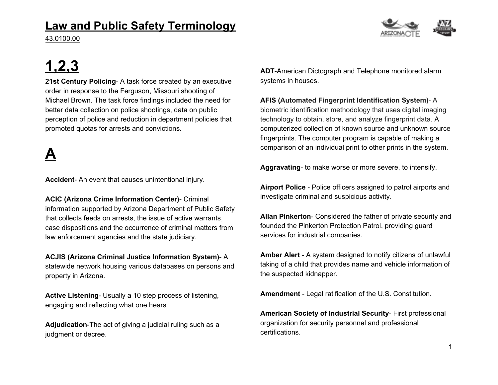#### **Law and Public Safety Terminology**

43.0100.00

# **1,2,3**

**21st Century Policing**- A task force created by an executive order in response to the Ferguson, Missouri shooting of Michael Brown. The task force findings included the need for better data collection on police shootings, data on public perception of police and reduction in department policies that promoted quotas for arrests and convictions.

### **A**

**Accident**- An event that causes unintentional injury.

**ACIC (Arizona Crime Information Center)**- Criminal information supported by Arizona Department of Public Safety that collects feeds on arrests, the issue of active warrants, case dispositions and the occurrence of criminal matters from law enforcement agencies and the state judiciary.

**ACJIS (Arizona Criminal Justice Information System)**- A statewide network housing various databases on persons and property in Arizona.

**Active Listening**- Usually a 10 step process of listening, engaging and reflecting what one hears

**Adjudication**-The act of giving a judicial ruling such as a judgment or decree.

**ADT**-American Dictograph and Telephone monitored alarm systems in houses.

**AFIS (Automated Fingerprint Identification System)**- A biometric identification methodology that uses digital imaging technology to obtain, store, and analyze fingerprint data. A computerized collection of known source and unknown source fingerprints. The computer program is capable of making a comparison of an individual print to other prints in the system.

**Aggravating**- to make worse or more severe, to intensify.

**Airport Police** - Police officers assigned to patrol airports and investigate criminal and suspicious activity.

**Allan Pinkerton**- Considered the father of private security and founded the Pinkerton Protection Patrol, providing guard services for industrial companies.

**Amber Alert** - A system designed to notify citizens of unlawful taking of a child that provides name and vehicle information of the suspected kidnapper.

**Amendment** - Legal ratification of the U.S. Constitution.

**American Society of Industrial Security**- First professional organization for security personnel and professional certifications.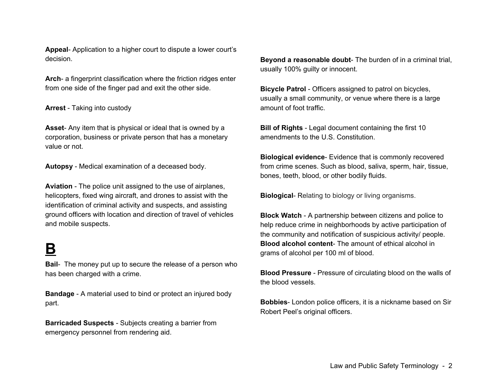**Appeal**- Application to a higher court to dispute a lower court's decision.

**Arch**- a fingerprint classification where the friction ridges enter from one side of the finger pad and exit the other side.

#### **Arrest** - Taking into custody

**Asset**- Any item that is physical or ideal that is owned by a corporation, business or private person that has a monetary value or not.

**Autopsy** - Medical examination of a deceased body.

**Aviation** - The police unit assigned to the use of airplanes, helicopters, fixed wing aircraft, and drones to assist with the identification of criminal activity and suspects, and assisting ground officers with location and direction of travel of vehicles and mobile suspects.

#### **B**

**Bail**- The money put up to secure the release of a person who has been charged with a crime.

**Bandage** - A material used to bind or protect an injured body part.

**Barricaded Suspects** - Subjects creating a barrier from emergency personnel from rendering aid.

**Beyond a reasonable doubt**- The burden of in a criminal trial, usually 100% guilty or innocent.

**Bicycle Patrol** - Officers assigned to patrol on bicycles, usually a small community, or venue where there is a large amount of foot traffic.

**Bill of Rights** - Legal document containing the first 10 amendments to the U.S. Constitution.

**Biological evidence**- Evidence that is commonly recovered from crime scenes. Such as blood, saliva, sperm, hair, tissue, bones, teeth, blood, or other bodily fluids.

**Biological**- Relating to biology or living organisms.

**Block Watch** - A partnership between citizens and police to help reduce crime in neighborhoods by active participation of the community and notification of suspicious activity/ people. **Blood alcohol content**- The amount of ethical alcohol in grams of alcohol per 100 ml of blood.

**Blood Pressure** - Pressure of circulating blood on the walls of the blood vessels.

**Bobbies**- London police officers, it is a nickname based on Sir Robert Peel's original officers.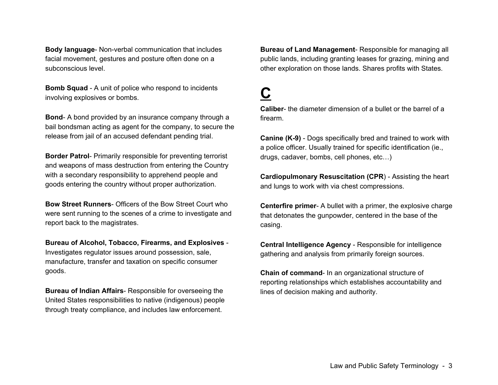**Body language**- Non-verbal communication that includes facial movement, gestures and posture often done on a subconscious level.

**Bomb Squad** - A unit of police who respond to incidents involving explosives or bombs.

**Bond**- A bond provided by an insurance company through a bail bondsman acting as agent for the company, to secure the release from jail of an accused defendant pending trial.

**Border Patrol**- Primarily responsible for preventing terrorist and weapons of mass destruction from entering the Country with a secondary responsibility to apprehend people and goods entering the country without proper authorization.

**Bow Street Runners**- Officers of the Bow Street Court who were sent running to the scenes of a crime to investigate and report back to the magistrates.

**Bureau of Alcohol, Tobacco, Firearms, and Explosives** - Investigates regulator issues around possession, sale, manufacture, transfer and taxation on specific consumer goods.

**Bureau of Indian Affairs**- Responsible for overseeing the United States responsibilities to native (indigenous) people through treaty compliance, and includes law enforcement.

**Bureau of Land Management**- Responsible for managing all public lands, including granting leases for grazing, mining and other exploration on those lands. Shares profits with States.

## **C**

**Caliber**- the diameter dimension of a bullet or the barrel of a firearm.

**Canine (K-9)** - Dogs specifically bred and trained to work with a police officer. Usually trained for specific identification (ie., drugs, cadaver, bombs, cell phones, etc…)

**Cardiopulmonary Resuscitation (CPR**) - Assisting the heart and lungs to work with via chest compressions.

**Centerfire primer**- A bullet with a primer, the explosive charge that detonates the gunpowder, centered in the base of the casing.

**Central Intelligence Agency** - Responsible for intelligence gathering and analysis from primarily foreign sources.

**Chain of command**- In an organizational structure of reporting relationships which establishes accountability and lines of decision making and authority.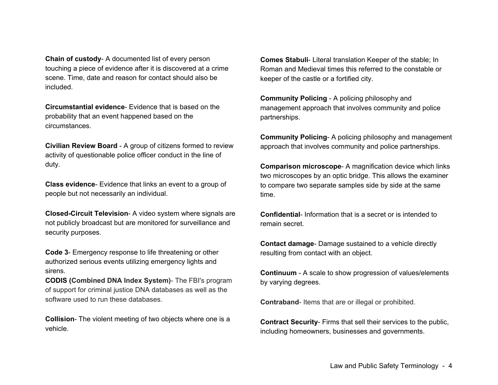**Chain of custody**- A documented list of every person touching a piece of evidence after it is discovered at a crime scene. Time, date and reason for contact should also be included.

**Circumstantial evidence**- Evidence that is based on the probability that an event happened based on the circumstances.

**Civilian Review Board** - A group of citizens formed to review activity of questionable police officer conduct in the line of duty.

**Class evidence**- Evidence that links an event to a group of people but not necessarily an individual.

**Closed-Circuit Television**- A video system where signals are not publicly broadcast but are monitored for surveillance and security purposes.

**Code 3**- Emergency response to life threatening or other authorized serious events utilizing emergency lights and sirens.

**CODIS (Combined DNA Index System)**- The FBI's program of support for criminal justice DNA databases as well as the software used to run these databases.

**Collision**- The violent meeting of two objects where one is a vehicle.

**Comes Stabuli**- Literal translation Keeper of the stable; In Roman and Medieval times this referred to the constable or keeper of the castle or a fortified city.

**Community Policing** - A policing philosophy and management approach that involves community and police partnerships.

**Community Policing**- A policing philosophy and management approach that involves community and police partnerships.

**Comparison microscope**- A magnification device which links two microscopes by an optic bridge. This allows the examiner to compare two separate samples side by side at the same time.

**Confidential**- Information that is a secret or is intended to remain secret.

**Contact damage**- Damage sustained to a vehicle directly resulting from contact with an object.

**Continuum** - A scale to show progression of values/elements by varying degrees.

**Contraband**- Items that are or illegal or prohibited.

**Contract Security**- Firms that sell their services to the public, including homeowners, businesses and governments.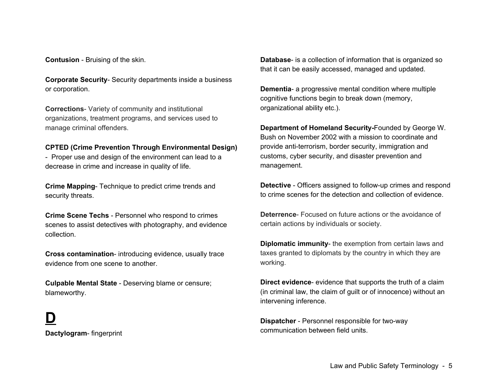**Contusion** - Bruising of the skin.

**Corporate Security**- Security departments inside a business or corporation.

**Corrections**- Variety of community and institutional organizations, treatment programs, and services used to manage criminal offenders.

#### **CPTED (Crime Prevention Through Environmental Design)**

- Proper use and design of the environment can lead to a decrease in crime and increase in quality of life.

**Crime Mapping**- Technique to predict crime trends and security threats.

**Crime Scene Techs** - Personnel who respond to crimes scenes to assist detectives with photography, and evidence collection.

**Cross contamination**- introducing evidence, usually trace evidence from one scene to another.

**Culpable Mental State** - Deserving blame or censure; blameworthy.

**D Dactylogram**- fingerprint **Database**- is a collection of information that is organized so that it can be easily accessed, managed and updated.

**Dementia**- a progressive mental condition where multiple cognitive functions begin to break down (memory, organizational ability etc.).

**Department of Homeland Security-**Founded by George W. Bush on November 2002 with a mission to coordinate and provide anti-terrorism, border security, immigration and customs, cyber security, and disaster prevention and management.

**Detective** - Officers assigned to follow-up crimes and respond to crime scenes for the detection and collection of evidence.

**Deterrence**- Focused on future actions or the avoidance of certain actions by individuals or society.

**Diplomatic immunity**- the exemption from certain laws and taxes granted to diplomats by the country in which they are working.

**Direct evidence**- evidence that supports the truth of a claim (in criminal law, the claim of guilt or of innocence) without an intervening inference.

**Dispatcher** - Personnel responsible for two-way communication between field units.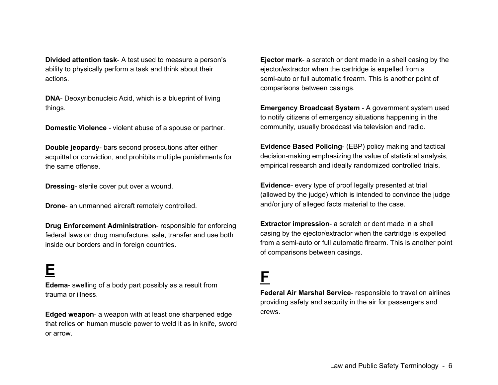**Divided attention task**- A test used to measure a person's ability to physically perform a task and think about their actions.

**DNA**- Deoxyribonucleic Acid, which is a blueprint of living things.

**Domestic Violence** - violent abuse of a spouse or partner.

**Double jeopardy**- bars second prosecutions after either acquittal or conviction, and prohibits multiple punishments for the same offense.

**Dressing**- sterile cover put over a wound.

**Drone**- an unmanned aircraft remotely controlled.

**Drug Enforcement Administration**- responsible for enforcing federal laws on drug manufacture, sale, transfer and use both inside our borders and in foreign countries.

#### **E**

**Edema**- swelling of a body part possibly as a result from trauma or illness.

**Edged weapon**- a weapon with at least one sharpened edge that relies on human muscle power to weld it as in knife, sword or arrow.

**Ejector mark**- a scratch or dent made in a shell casing by the ejector/extractor when the cartridge is expelled from a semi-auto or full automatic firearm. This is another point of comparisons between casings.

**Emergency Broadcast System** - A government system used to notify citizens of emergency situations happening in the community, usually broadcast via television and radio.

**Evidence Based Policing**- (EBP) policy making and tactical decision-making emphasizing the value of statistical analysis, empirical research and ideally randomized controlled trials.

**Evidence**- every type of proof legally presented at trial (allowed by the judge) which is intended to convince the judge and/or jury of alleged facts material to the case.

**Extractor impression**- a scratch or dent made in a shell casing by the ejector/extractor when the cartridge is expelled from a semi-auto or full automatic firearm. This is another point of comparisons between casings.

#### **F**

**Federal Air Marshal Service**- responsible to travel on airlines providing safety and security in the air for passengers and crews.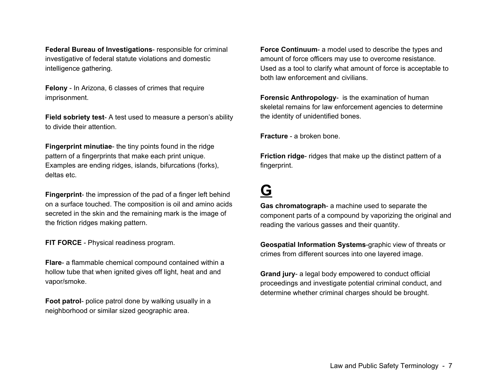**Federal Bureau of Investigations**- responsible for criminal investigative of federal statute violations and domestic intelligence gathering.

**Felony** - In Arizona, 6 classes of crimes that require imprisonment.

**Field sobriety test**- A test used to measure a person's ability to divide their attention.

**Fingerprint minutiae**- the tiny points found in the ridge pattern of a fingerprints that make each print unique. Examples are ending ridges, islands, bifurcations (forks), deltas etc.

**Fingerprint**- the impression of the pad of a finger left behind on a surface touched. The composition is oil and amino acids secreted in the skin and the remaining mark is the image of the friction ridges making pattern.

**FIT FORCE** - Physical readiness program.

**Flare**- a flammable chemical compound contained within a hollow tube that when ignited gives off light, heat and and vapor/smoke.

**Foot patrol**- police patrol done by walking usually in a neighborhood or similar sized geographic area.

**Force Continuum**- a model used to describe the types and amount of force officers may use to overcome resistance. Used as a tool to clarify what amount of force is acceptable to both law enforcement and civilians.

**Forensic Anthropology**- is the examination of human skeletal remains for law enforcement agencies to determine the identity of unidentified bones.

**Fracture** - a broken bone.

**Friction ridge**- ridges that make up the distinct pattern of a fingerprint.

#### **G**

**Gas chromatograph**- a machine used to separate the component parts of a compound by vaporizing the original and reading the various gasses and their quantity.

**Geospatial Information Systems**-graphic view of threats or crimes from different sources into one layered image.

**Grand jury**- a legal body empowered to conduct official proceedings and investigate potential criminal conduct, and determine whether criminal charges should be brought.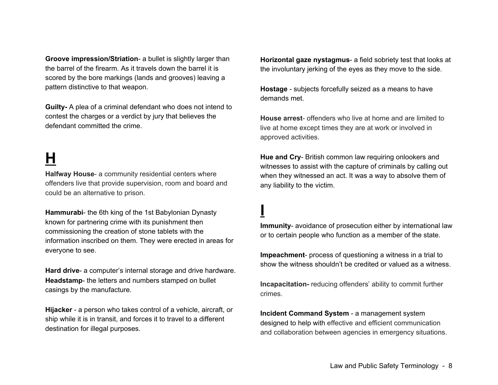**Groove impression/Striation**- a bullet is slightly larger than the barrel of the firearm. As it travels down the barrel it is scored by the bore markings (lands and grooves) leaving a pattern distinctive to that weapon.

**Guilty-** A plea of a criminal defendant who does not intend to contest the charges or a verdict by jury that believes the defendant committed the crime.

# **H**

**Halfway House**- a community residential centers where offenders live that provide supervision, room and board and could be an alternative to prison.

**Hammurabi**- the 6th king of the 1st Babylonian Dynasty known for partnering crime with its punishment then commissioning the creation of stone tablets with the information inscribed on them. They were erected in areas for everyone to see.

**Hard drive**- a computer's internal storage and drive hardware. **Headstamp**- the letters and numbers stamped on bullet casings by the manufacture.

**Hijacker** - a person who takes control of a vehicle, aircraft, or ship while it is in transit, and forces it to travel to a different destination for illegal purposes.

**Horizontal gaze nystagmus**- a field sobriety test that looks at the involuntary jerking of the eyes as they move to the side.

**Hostage** - subjects forcefully seized as a means to have demands met.

**House arrest**- offenders who live at home and are limited to live at home except times they are at work or involved in approved activities.

**Hue and Cry**- British common law requiring onlookers and witnesses to assist with the capture of criminals by calling out when they witnessed an act. It was a way to absolve them of any liability to the victim.

# **I**

**Immunity**- avoidance of prosecution either by international law or to certain people who function as a member of the state.

**Impeachment**- process of questioning a witness in a trial to show the witness shouldn't be credited or valued as a witness.

**Incapacitation-** reducing offenders' ability to commit further crimes.

**Incident Command System** - a management system designed to help with effective and efficient communication and collaboration between agencies in emergency situations.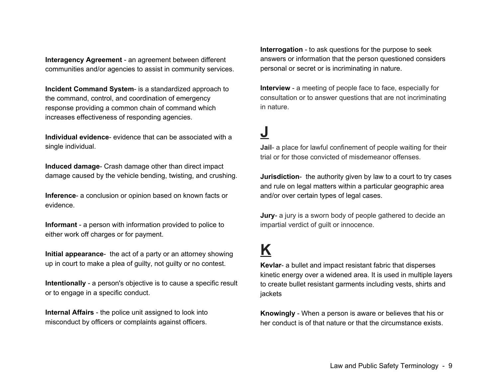**Interagency Agreement** - an agreement between different communities and/or agencies to assist in community services.

**Incident Command System**- is a standardized approach to the command, control, and coordination of emergency response providing a common chain of command which increases effectiveness of responding agencies.

**Individual evidence**- evidence that can be associated with a single individual.

**Induced damage**- Crash damage other than direct impact damage caused by the vehicle bending, twisting, and crushing.

**Inference**- a conclusion or opinion based on known facts or evidence.

**Informant** - a person with information provided to police to either work off charges or for payment.

**Initial appearance**- the act of a party or an attorney showing up in court to make a plea of guilty, not guilty or no contest.

**Intentionally** - a person's objective is to cause a specific result or to engage in a specific conduct.

**Internal Affairs** - the police unit assigned to look into misconduct by officers or complaints against officers.

**Interrogation** - to ask questions for the purpose to seek answers or information that the person questioned considers personal or secret or is incriminating in nature.

**Interview** - a meeting of people face to face, especially for consultation or to answer questions that are not incriminating in nature.

#### **J**

**Jail**- a place for lawful confinement of people waiting for their trial or for those convicted of misdemeanor offenses.

**Jurisdiction**- the authority given by law to a court to try cases and rule on legal matters within a particular geographic area and/or over certain types of legal cases.

**Jury**- a jury is a sworn body of people gathered to decide an impartial verdict of guilt or innocence.

### **K**

**Kevlar**- a bullet and impact resistant fabric that disperses kinetic energy over a widened area. It is used in multiple layers to create bullet resistant garments including vests, shirts and jackets

**Knowingly** - When a person is aware or believes that his or her conduct is of that nature or that the circumstance exists.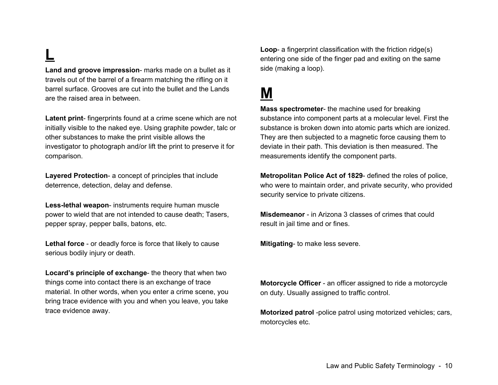# **L**

**Land and groove impression**- marks made on a bullet as it travels out of the barrel of a firearm matching the rifling on it barrel surface. Grooves are cut into the bullet and the Lands are the raised area in between.

**Latent print**- fingerprints found at a crime scene which are not initially visible to the naked eye. Using graphite powder, talc or other substances to make the print visible allows the investigator to photograph and/or lift the print to preserve it for comparison.

**Layered Protection**- a concept of principles that include deterrence, detection, delay and defense.

**Less-lethal weapon**- instruments require human muscle power to wield that are not intended to cause death; Tasers, pepper spray, pepper balls, batons, etc.

**Lethal force** - or deadly force is force that likely to cause serious bodily injury or death.

**Locard's principle of exchange**- the theory that when two things come into contact there is an exchange of trace material. In other words, when you enter a crime scene, you bring trace evidence with you and when you leave, you take trace evidence away.

**Loop**- a fingerprint classification with the friction ridge(s) entering one side of the finger pad and exiting on the same side (making a loop).

#### **M**

**Mass spectrometer**- the machine used for breaking substance into component parts at a molecular level. First the substance is broken down into atomic parts which are ionized. They are then subjected to a magnetic force causing them to deviate in their path. This deviation is then measured. The measurements identify the component parts.

**Metropolitan Police Act of 1829**- defined the roles of police, who were to maintain order, and private security, who provided security service to private citizens.

**Misdemeanor** - in Arizona 3 classes of crimes that could result in jail time and or fines.

**Mitigating**- to make less severe.

**Motorcycle Officer** - an officer assigned to ride a motorcycle on duty. Usually assigned to traffic control.

**Motorized patrol** -police patrol using motorized vehicles; cars, motorcycles etc.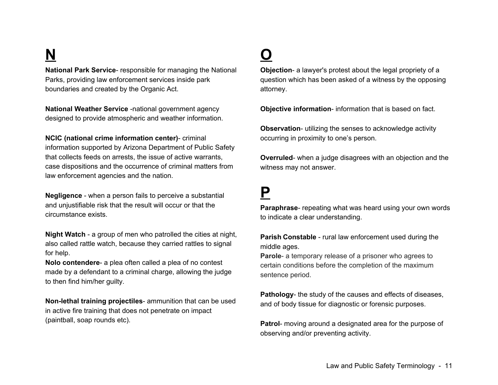# **N**

**National Park Service**- responsible for managing the National Parks, providing law enforcement services inside park boundaries and created by the Organic Act.

**National Weather Service** -national government agency designed to provide atmospheric and weather information.

**NCIC (national crime information center)**- criminal information supported by Arizona Department of Public Safety that collects feeds on arrests, the issue of active warrants, case dispositions and the occurrence of criminal matters from law enforcement agencies and the nation.

**Negligence** - when a person fails to perceive a substantial and unjustifiable risk that the result will occur or that the circumstance exists.

**Night Watch** - a group of men who patrolled the cities at night, also called rattle watch, because they carried rattles to signal for help.

**Nolo contendere**- a plea often called a plea of no contest made by a defendant to a criminal charge, allowing the judge to then find him/her guilty.

**Non-lethal training projectiles**- ammunition that can be used in active fire training that does not penetrate on impact (paintball, soap rounds etc).

# **O**

**Objection**- a lawyer's protest about the legal propriety of a question which has been asked of a witness by the opposing attorney.

**Objective information**- information that is based on fact.

**Observation**- utilizing the senses to acknowledge activity occurring in proximity to one's person.

**Overruled**- when a judge disagrees with an objection and the witness may not answer.

#### **P**

**Paraphrase**- repeating what was heard using your own words to indicate a clear understanding.

**Parish Constable** - rural law enforcement used during the middle ages.

**Parole**- a temporary release of a prisoner who agrees to certain conditions before the completion of the maximum sentence period.

**Pathology**- the study of the causes and effects of diseases, and of body tissue for diagnostic or forensic purposes.

**Patrol**- moving around a designated area for the purpose of observing and/or preventing activity.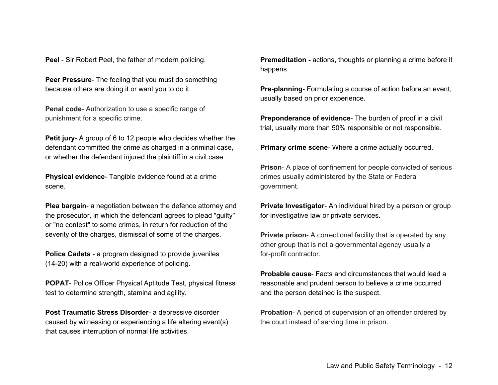**Peel** - Sir Robert Peel, the father of modern policing.

**Peer Pressure**- The feeling that you must do something because others are doing it or want you to do it.

**Penal code**- Authorization to use a specific range of punishment for a specific crime.

**Petit jury**- A group of 6 to 12 people who decides whether the defendant committed the crime as charged in a criminal case, or whether the defendant injured the plaintiff in a civil case.

**Physical evidence**- Tangible evidence found at a crime scene.

**Plea bargain**- a negotiation between the defence attorney and the prosecutor, in which the defendant agrees to plead "guilty" or "no contest" to some crimes, in return for reduction of the severity of the charges, dismissal of some of the charges.

**Police Cadets** - a program designed to provide juveniles (14-20) with a real-world experience of policing.

**POPAT**- Police Officer Physical Aptitude Test, physical fitness test to determine strength, stamina and agility.

**Post Traumatic Stress Disorder**- a depressive disorder caused by witnessing or experiencing a life altering event(s) that causes interruption of normal life activities.

**Premeditation -** actions, thoughts or planning a crime before it happens.

**Pre-planning**- Formulating a course of action before an event, usually based on prior experience.

**Preponderance of evidence**- The burden of proof in a civil trial, usually more than 50% responsible or not responsible.

**Primary crime scene**- Where a crime actually occurred.

**Prison**- A place of confinement for people convicted of serious crimes usually administered by the State or Federal government.

**Private Investigator**- An individual hired by a person or group for investigative law or private services.

**Private prison-** A correctional facility that is operated by any other group that is not a governmental agency usually a for-profit contractor.

**Probable cause**- Facts and circumstances that would lead a reasonable and prudent person to believe a crime occurred and the person detained is the suspect.

**Probation**- A period of supervision of an offender ordered by the court instead of serving time in prison.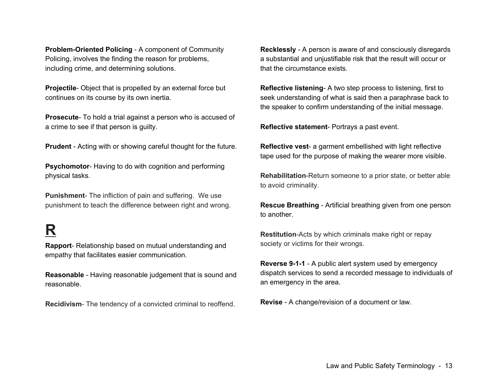**Problem-Oriented Policing** - A component of Community Policing, involves the finding the reason for problems, including crime, and determining solutions.

**Projectile**- Object that is propelled by an external force but continues on its course by its own inertia.

**Prosecute**- To hold a trial against a person who is accused of a crime to see if that person is guilty.

**Prudent** - Acting with or showing careful thought for the future.

**Psychomotor**- Having to do with cognition and performing physical tasks.

**Punishment**- The infliction of pain and suffering. We use punishment to teach the difference between right and wrong.

## **R**

**Rapport**- Relationship based on mutual understanding and empathy that facilitates easier communication.

**Reasonable** - Having reasonable judgement that is sound and reasonable.

**Recidivism**- The tendency of a convicted criminal to reoffend.

**Recklessly** - A person is aware of and consciously disregards a substantial and unjustifiable risk that the result will occur or that the circumstance exists.

**Reflective listening**- A two step process to listening, first to seek understanding of what is said then a paraphrase back to the speaker to confirm understanding of the initial message.

**Reflective statement**- Portrays a past event.

**Reflective vest**- a garment embellished with light reflective tape used for the purpose of making the wearer more visible.

**Rehabilitation**-Return someone to a prior state, or better able to avoid criminality.

**Rescue Breathing** - Artificial breathing given from one person to another.

**Restitution**-Acts by which criminals make right or repay society or victims for their wrongs.

**Reverse 9-1-1** - A public alert system used by emergency dispatch services to send a recorded message to individuals of an emergency in the area.

**Revise** - A change/revision of a document or law.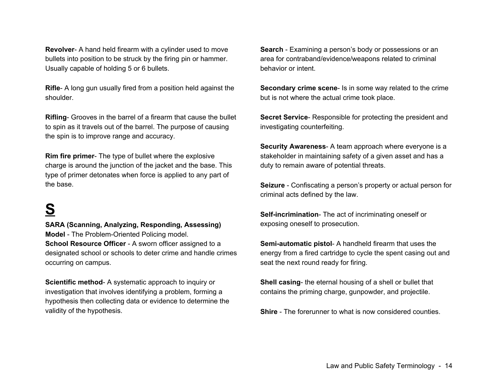**Revolver**- A hand held firearm with a cylinder used to move bullets into position to be struck by the firing pin or hammer. Usually capable of holding 5 or 6 bullets.

**Rifle**- A long gun usually fired from a position held against the shoulder.

**Rifling**- Grooves in the barrel of a firearm that cause the bullet to spin as it travels out of the barrel. The purpose of causing the spin is to improve range and accuracy.

**Rim fire primer**- The type of bullet where the explosive charge is around the junction of the jacket and the base. This type of primer detonates when force is applied to any part of the base.

## **S**

**SARA (Scanning, Analyzing, Responding, Assessing) Model** - The Problem-Oriented Policing model. **School Resource Officer** - A sworn officer assigned to a designated school or schools to deter crime and handle crimes occurring on campus.

**Scientific method**- A systematic approach to inquiry or investigation that involves identifying a problem, forming a hypothesis then collecting data or evidence to determine the validity of the hypothesis.

**Search** - Examining a person's body or possessions or an area for contraband/evidence/weapons related to criminal behavior or intent.

**Secondary crime scene**- Is in some way related to the crime but is not where the actual crime took place.

**Secret Service**- Responsible for protecting the president and investigating counterfeiting.

**Security Awareness**- A team approach where everyone is a stakeholder in maintaining safety of a given asset and has a duty to remain aware of potential threats.

**Seizure** - Confiscating a person's property or actual person for criminal acts defined by the law.

**Self-incrimination**- The act of incriminating oneself or exposing oneself to prosecution.

**Semi-automatic pistol**- A handheld firearm that uses the energy from a fired cartridge to cycle the spent casing out and seat the next round ready for firing.

**Shell casing**- the eternal housing of a shell or bullet that contains the priming charge, gunpowder, and projectile.

**Shire** - The forerunner to what is now considered counties.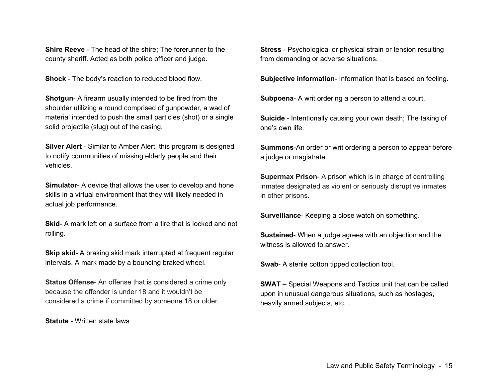**Shire Reeve** - The head of the shire; The forerunner to the county sheriff. Acted as both police officer and judge.

**Shock** - The body's reaction to reduced blood flow.

**Shotgun**- A firearm usually intended to be fired from the shoulder utilizing a round comprised of gunpowder, a wad of material intended to push the small particles (shot) or a single solid projectile (slug) out of the casing.

**Silver Alert** - Similar to Amber Alert, this program is designed to notify communities of missing elderly people and their vehicles.

**Simulator-** A device that allows the user to develop and hone skills in a virtual environment that they will likely needed in actual job performance.

**Skid**- A mark left on a surface from a tire that is locked and not rolling.

**Skip skid**- A braking skid mark interrupted at frequent regular intervals. A mark made by a bouncing braked wheel.

**Status Offense**- An offense that is considered a crime only because the offender is under 18 and it wouldn't be considered a crime if committed by someone 18 or older.

**Statute** - Written state laws

**Stress** - Psychological or physical strain or tension resulting from demanding or adverse situations.

**Subjective information**- Information that is based on feeling.

**Subpoena**- A writ ordering a person to attend a court.

**Suicide** - Intentionally causing your own death; The taking of one's own life.

**Summons**-An order or writ ordering a person to appear before a judge or magistrate.

**Supermax Prison**- A prison which is in charge of controlling inmates designated as violent or seriously disruptive inmates in other prisons.

**Surveillance**- Keeping a close watch on something.

**Sustained**- When a judge agrees with an objection and the witness is allowed to answer.

**Swab-** A sterile cotton tipped collection tool.

**SWAT** – Special Weapons and Tactics unit that can be called upon in unusual dangerous situations, such as hostages, heavily armed subjects, etc…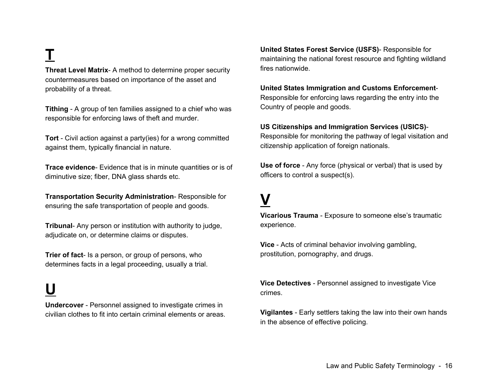**T**

**Threat Level Matrix**- A method to determine proper security countermeasures based on importance of the asset and probability of a threat.

**Tithing** - A group of ten families assigned to a chief who was responsible for enforcing laws of theft and murder.

**Tort** - Civil action against a party(ies) for a wrong committed against them, typically financial in nature.

**Trace evidence**- Evidence that is in minute quantities or is of diminutive size; fiber, DNA glass shards etc.

**Transportation Security Administration**- Responsible for ensuring the safe transportation of people and goods.

**Tribunal**- Any person or institution with authority to judge, adjudicate on, or determine claims or disputes.

**Trier of fact**- Is a person, or group of persons, who determines facts in a legal proceeding, usually a trial.

## **U**

**Undercover** - Personnel assigned to investigate crimes in civilian clothes to fit into certain criminal elements or areas. **United States Forest Service (USFS)**- Responsible for maintaining the national forest resource and fighting wildland fires nationwide.

**United States Immigration and Customs Enforcement**-Responsible for enforcing laws regarding the entry into the Country of people and goods.

#### **US Citizenships and Immigration Services (USICS)**-

Responsible for monitoring the pathway of legal visitation and citizenship application of foreign nationals.

**Use of force** - Any force (physical or verbal) that is used by officers to control a suspect(s).

# **V**

**Vicarious Trauma** - Exposure to someone else's traumatic experience.

**Vice** - Acts of criminal behavior involving gambling, prostitution, pornography, and drugs.

**Vice Detectives** - Personnel assigned to investigate Vice crimes.

**Vigilantes** - Early settlers taking the law into their own hands in the absence of effective policing.